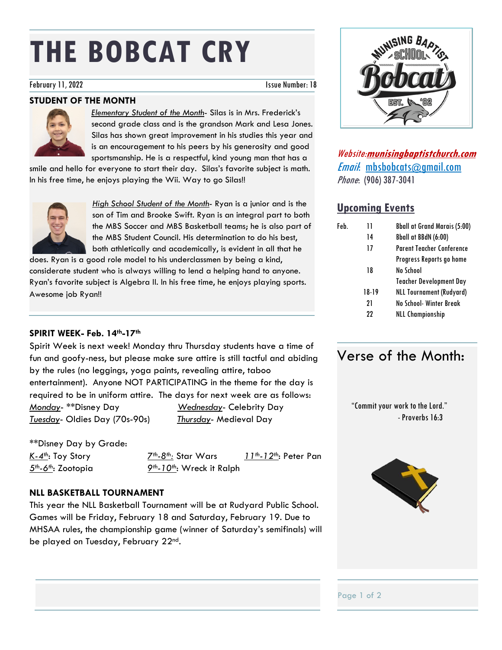# **THE BOBCAT CRY**

#### February 11, 2022 **Issue Number: 18**

#### **STUDENT OF THE MONTH**



*Elementary Student of the Month*- Silas is in Mrs. Frederick's second grade class and is the grandson Mark and Lesa Jones. Silas has shown great improvement in his studies this year and is an encouragement to his peers by his generosity and good sportsmanship. He is a respectful, kind young man that has a

smile and hello for everyone to start their day. Silas's favorite subject is math. In his free time, he enjoys playing the Wii. Way to go Silas!!



*High School Student of the Month*- Ryan is a junior and is the son of Tim and Brooke Swift. Ryan is an integral part to both the MBS Soccer and MBS Basketball teams; he is also part of the MBS Student Council. His determination to do his best, both athletically and academically, is evident in all that he

does. Ryan is a good role model to his underclassmen by being a kind, considerate student who is always willing to lend a helping hand to anyone. Ryan's favorite subject is Algebra II. In his free time, he enjoys playing sports. Awesome job Ryan!!

#### **SPIRIT WEEK- Feb. 14th-17th**

Spirit Week is next week! Monday thru Thursday students have a time of fun and goofy-ness, but please make sure attire is still tactful and abiding by the rules (no leggings, yoga paints, revealing attire, taboo entertainment). Anyone NOT PARTICIPATING in the theme for the day is required to be in uniform attire. The days for next week are as follows: *Monday*- \*\*Disney Day *Wednesday*- Celebrity Day *Tuesday*- Oldies Day (70s-90s) *Thursday*- Medieval Day

\*\*Disney Day by Grade: *5th-6th*: Zootopia *9th-10th*: Wreck it Ralph

*K-4th*: Toy Story *7th-8th:* Star Wars *11th-12th*: Peter Pan

#### **NLL BASKETBALL TOURNAMENT**

This year the NLL Basketball Tournament will be at Rudyard Public School. Games will be Friday, February 18 and Saturday, February 19. Due to MHSAA rules, the championship game (winner of Saturday's semifinals) will be played on Tuesday, February 22<sup>nd</sup>.



Website:**munisingbaptistchurch.com** Email: mbsbobcats@gmail.com Phone: (906) 387-3041

#### **Upcoming Events**

| Feb. | 11    | <b>Bball at Grand Marais (5:00)</b> |
|------|-------|-------------------------------------|
|      | 14    | Bball at BBdN (6:00)                |
|      | 17    | <b>Parent Teacher Conference</b>    |
|      |       | Progress Reports go home            |
|      | 18    | No School                           |
|      |       | <b>Teacher Development Day</b>      |
|      | 18-19 | <b>NLL Tournament (Rudyard)</b>     |
|      | 21    | No School-Winter Break              |
|      | 22    | <b>NLL Championship</b>             |
|      |       |                                     |

### Verse of the Month:

 "Commit your work to the Lord." -Proverbs 16:3